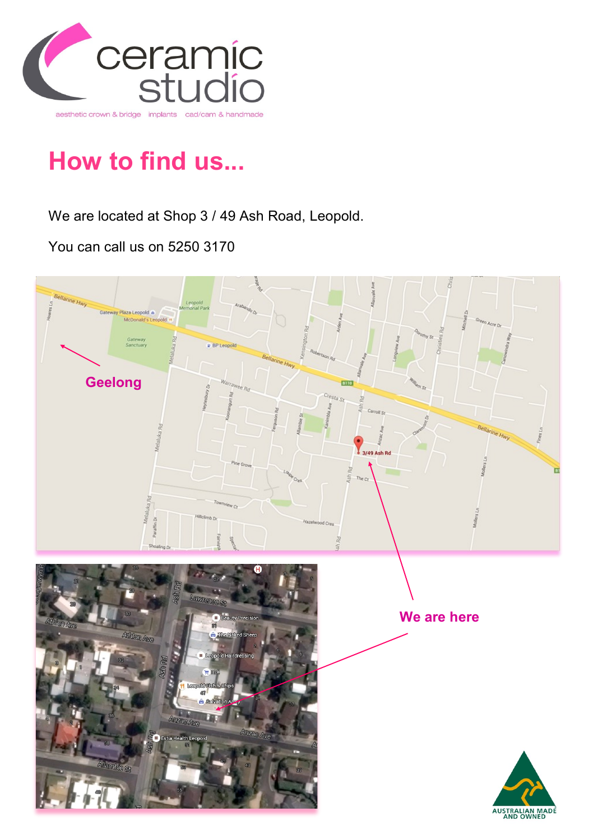

## **How to find us...**

We are located at Shop 3 / 49 Ash Road, Leopold.

You can call us on 5250 3170